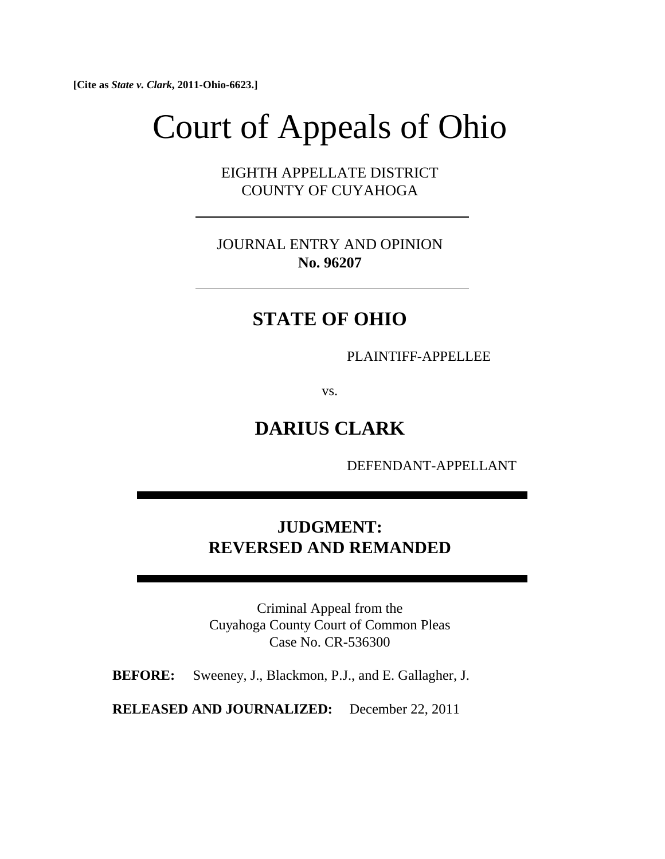**[Cite as** *State v. Clark***, 2011-Ohio-6623.]**

# Court of Appeals of Ohio

EIGHTH APPELLATE DISTRICT COUNTY OF CUYAHOGA

JOURNAL ENTRY AND OPINION **No. 96207**

## **STATE OF OHIO**

PLAINTIFF-APPELLEE

vs.

## **DARIUS CLARK**

DEFENDANT-APPELLANT

### **JUDGMENT: REVERSED AND REMANDED**

Criminal Appeal from the Cuyahoga County Court of Common Pleas Case No. CR-536300

**BEFORE:** Sweeney, J., Blackmon, P.J., and E. Gallagher, J.

**RELEASED AND JOURNALIZED:** December 22, 2011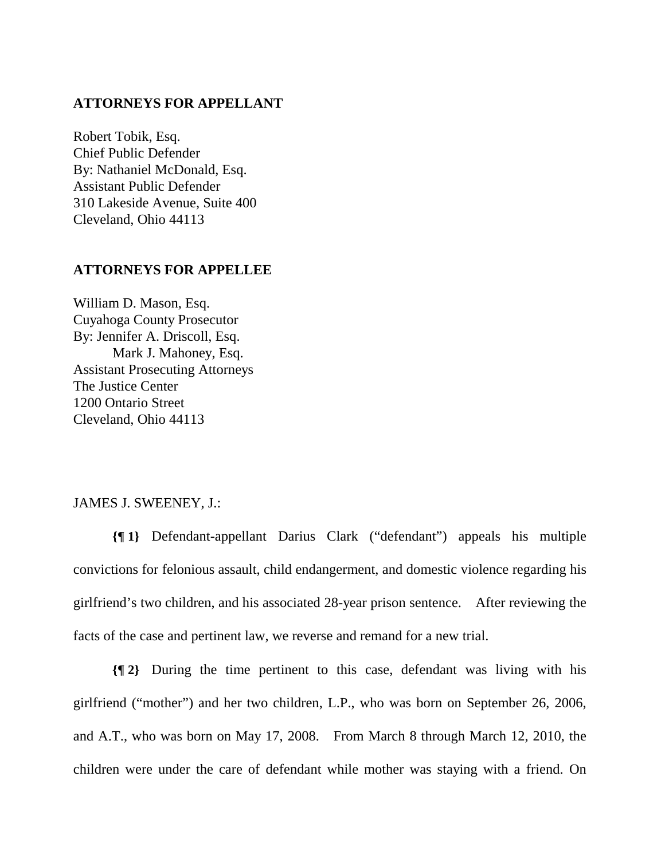#### **ATTORNEYS FOR APPELLANT**

Robert Tobik, Esq. Chief Public Defender By: Nathaniel McDonald, Esq. Assistant Public Defender 310 Lakeside Avenue, Suite 400 Cleveland, Ohio 44113

#### **ATTORNEYS FOR APPELLEE**

William D. Mason, Esq. Cuyahoga County Prosecutor By: Jennifer A. Driscoll, Esq. Mark J. Mahoney, Esq. Assistant Prosecuting Attorneys The Justice Center 1200 Ontario Street Cleveland, Ohio 44113

#### JAMES J. SWEENEY, J.:

**{¶ 1}** Defendant-appellant Darius Clark ("defendant") appeals his multiple convictions for felonious assault, child endangerment, and domestic violence regarding his girlfriend's two children, and his associated 28-year prison sentence. After reviewing the facts of the case and pertinent law, we reverse and remand for a new trial.

**{¶ 2}** During the time pertinent to this case, defendant was living with his girlfriend ("mother") and her two children, L.P., who was born on September 26, 2006, and A.T., who was born on May 17, 2008. From March 8 through March 12, 2010, the children were under the care of defendant while mother was staying with a friend. On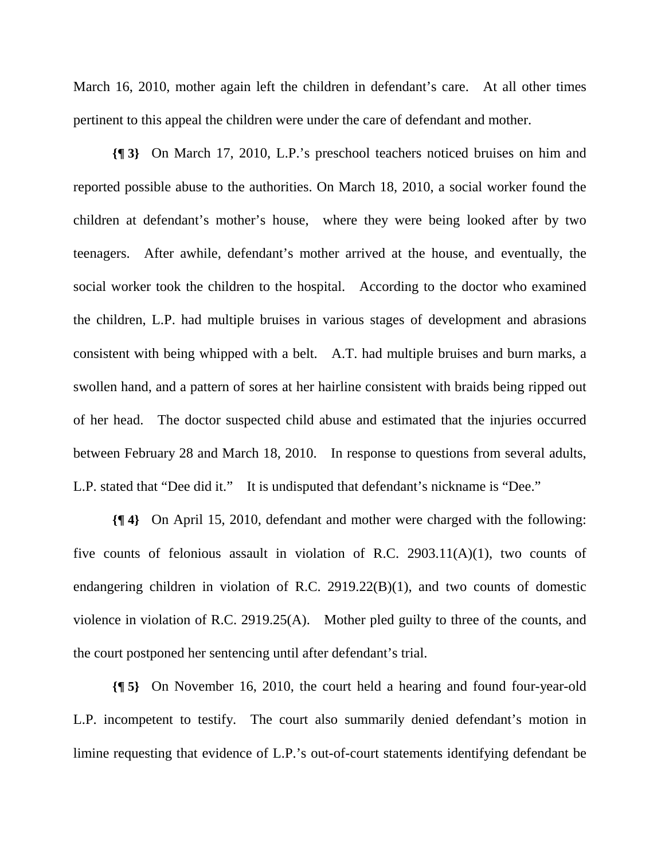March 16, 2010, mother again left the children in defendant's care. At all other times pertinent to this appeal the children were under the care of defendant and mother.

**{¶ 3}** On March 17, 2010, L.P.'s preschool teachers noticed bruises on him and reported possible abuse to the authorities. On March 18, 2010, a social worker found the children at defendant's mother's house, where they were being looked after by two teenagers. After awhile, defendant's mother arrived at the house, and eventually, the social worker took the children to the hospital. According to the doctor who examined the children, L.P. had multiple bruises in various stages of development and abrasions consistent with being whipped with a belt. A.T. had multiple bruises and burn marks, a swollen hand, and a pattern of sores at her hairline consistent with braids being ripped out of her head. The doctor suspected child abuse and estimated that the injuries occurred between February 28 and March 18, 2010. In response to questions from several adults, L.P. stated that "Dee did it." It is undisputed that defendant's nickname is "Dee."

**{¶ 4}** On April 15, 2010, defendant and mother were charged with the following: five counts of felonious assault in violation of R.C. 2903.11(A)(1), two counts of endangering children in violation of R.C. 2919.22(B)(1), and two counts of domestic violence in violation of R.C. 2919.25(A). Mother pled guilty to three of the counts, and the court postponed her sentencing until after defendant's trial.

**{¶ 5}** On November 16, 2010, the court held a hearing and found four-year-old L.P. incompetent to testify. The court also summarily denied defendant's motion in limine requesting that evidence of L.P.'s out-of-court statements identifying defendant be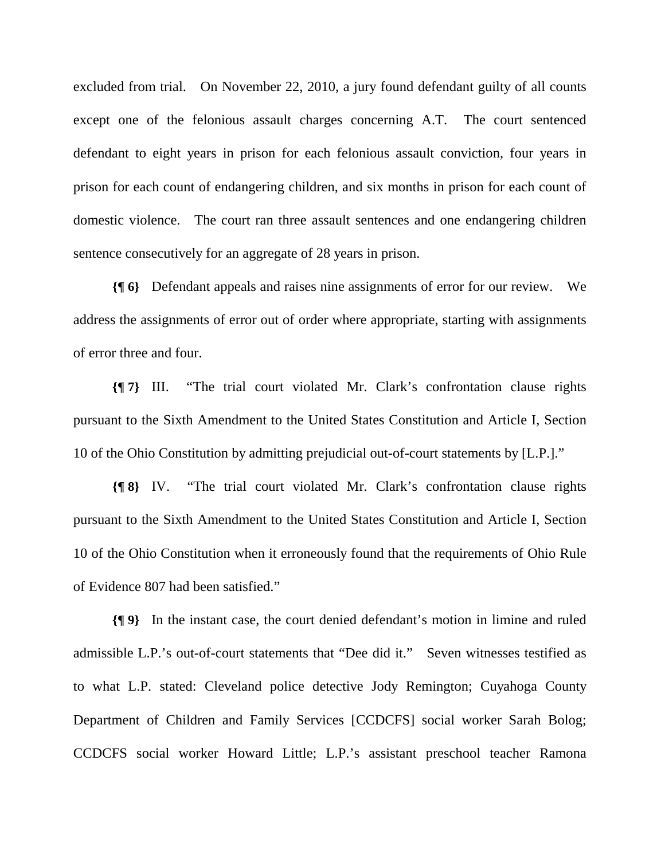excluded from trial. On November 22, 2010, a jury found defendant guilty of all counts except one of the felonious assault charges concerning A.T. The court sentenced defendant to eight years in prison for each felonious assault conviction, four years in prison for each count of endangering children, and six months in prison for each count of domestic violence. The court ran three assault sentences and one endangering children sentence consecutively for an aggregate of 28 years in prison.

**{¶ 6}** Defendant appeals and raises nine assignments of error for our review. We address the assignments of error out of order where appropriate, starting with assignments of error three and four.

**{¶ 7}** III. "The trial court violated Mr. Clark's confrontation clause rights pursuant to the Sixth Amendment to the United States Constitution and Article I, Section 10 of the Ohio Constitution by admitting prejudicial out-of-court statements by [L.P.]."

**{¶ 8}** IV. "The trial court violated Mr. Clark's confrontation clause rights pursuant to the Sixth Amendment to the United States Constitution and Article I, Section 10 of the Ohio Constitution when it erroneously found that the requirements of Ohio Rule of Evidence 807 had been satisfied."

**{¶ 9}** In the instant case, the court denied defendant's motion in limine and ruled admissible L.P.'s out-of-court statements that "Dee did it." Seven witnesses testified as to what L.P. stated: Cleveland police detective Jody Remington; Cuyahoga County Department of Children and Family Services [CCDCFS] social worker Sarah Bolog; CCDCFS social worker Howard Little; L.P.'s assistant preschool teacher Ramona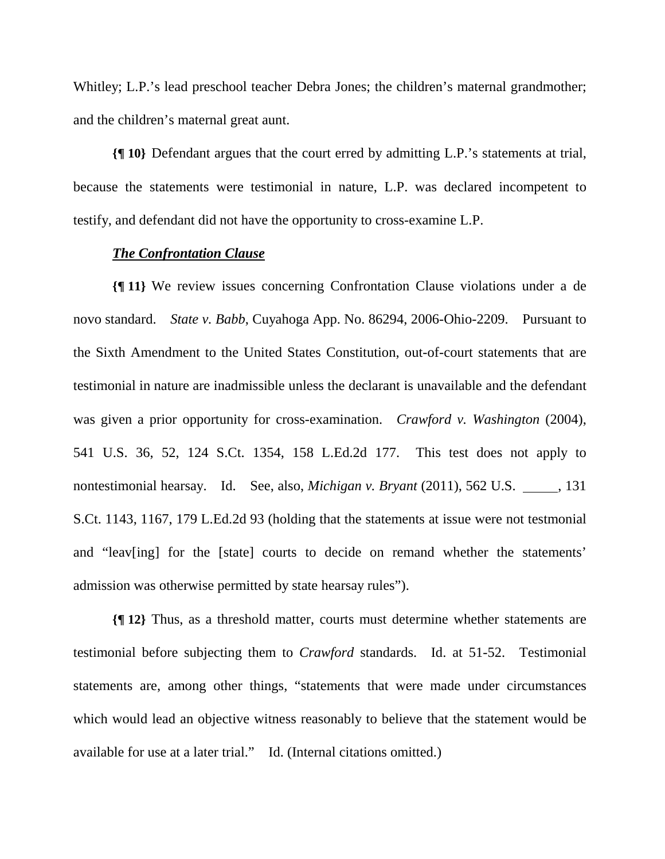Whitley; L.P.'s lead preschool teacher Debra Jones; the children's maternal grandmother; and the children's maternal great aunt.

**{¶ 10}** Defendant argues that the court erred by admitting L.P.'s statements at trial, because the statements were testimonial in nature, L.P. was declared incompetent to testify, and defendant did not have the opportunity to cross-examine L.P.

#### *The Confrontation Clause*

**{¶ 11}** We review issues concerning Confrontation Clause violations under a de novo standard. *State v. Babb*, Cuyahoga App. No. 86294, 2006-Ohio-2209. Pursuant to the Sixth Amendment to the United States Constitution, out-of-court statements that are testimonial in nature are inadmissible unless the declarant is unavailable and the defendant was given a prior opportunity for cross-examination. *Crawford v. Washington* (2004), 541 U.S. 36, 52, 124 S.Ct. 1354, 158 L.Ed.2d 177. This test does not apply to nontestimonial hearsay. Id. See, also, *Michigan v. Bryant* (2011), 562 U.S. 131 S.Ct. 1143, 1167, 179 L.Ed.2d 93 (holding that the statements at issue were not testmonial and "leav[ing] for the [state] courts to decide on remand whether the statements' admission was otherwise permitted by state hearsay rules").

**{¶ 12}** Thus, as a threshold matter, courts must determine whether statements are testimonial before subjecting them to *Crawford* standards. Id. at 51-52. Testimonial statements are, among other things, "statements that were made under circumstances which would lead an objective witness reasonably to believe that the statement would be available for use at a later trial." Id. (Internal citations omitted.)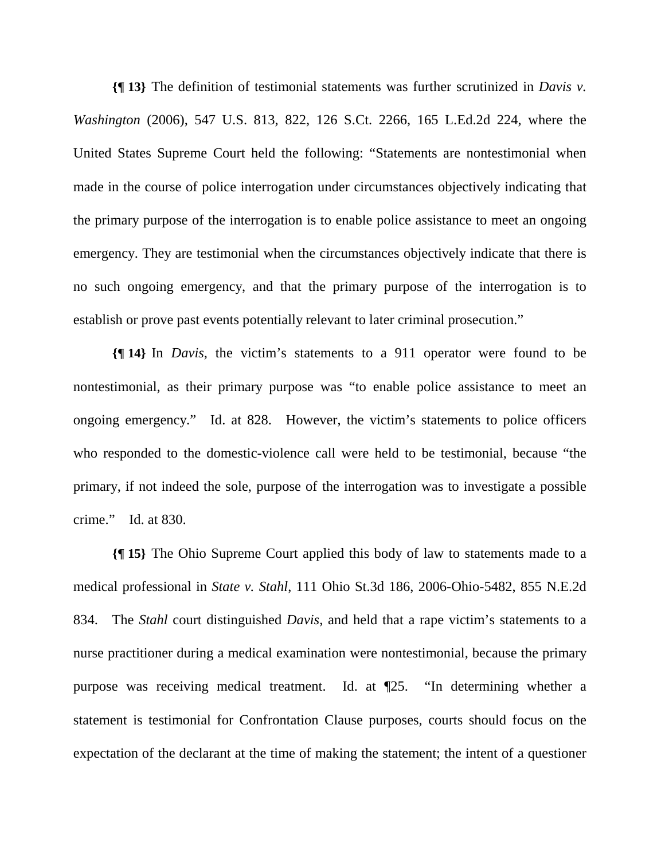**{¶ 13}** The definition of testimonial statements was further scrutinized in *Davis v. Washington* (2006), 547 U.S. 813, 822, 126 S.Ct. 2266, 165 L.Ed.2d 224, where the United States Supreme Court held the following: "Statements are nontestimonial when made in the course of police interrogation under circumstances objectively indicating that the primary purpose of the interrogation is to enable police assistance to meet an ongoing emergency. They are testimonial when the circumstances objectively indicate that there is no such ongoing emergency, and that the primary purpose of the interrogation is to establish or prove past events potentially relevant to later criminal prosecution."

**{¶ 14}** In *Davis*, the victim's statements to a 911 operator were found to be nontestimonial, as their primary purpose was "to enable police assistance to meet an ongoing emergency." Id. at 828. However, the victim's statements to police officers who responded to the domestic-violence call were held to be testimonial, because "the primary, if not indeed the sole, purpose of the interrogation was to investigate a possible crime." Id. at 830.

**{¶ 15}** The Ohio Supreme Court applied this body of law to statements made to a medical professional in *State v. Stahl*, 111 Ohio St.3d 186, 2006-Ohio-5482, 855 N.E.2d 834. The *Stahl* court distinguished *Davis*, and held that a rape victim's statements to a nurse practitioner during a medical examination were nontestimonial, because the primary purpose was receiving medical treatment. Id. at ¶25. "In determining whether a statement is testimonial for Confrontation Clause purposes, courts should focus on the expectation of the declarant at the time of making the statement; the intent of a questioner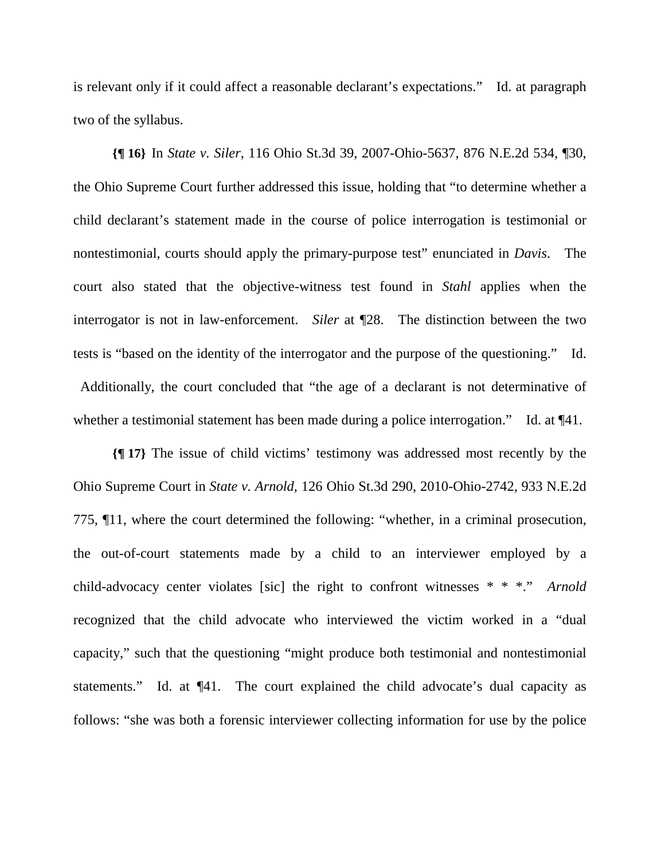is relevant only if it could affect a reasonable declarant's expectations." Id. at paragraph two of the syllabus.

**{¶ 16}** In *State v. Siler*, 116 Ohio St.3d 39, 2007-Ohio-5637, 876 N.E.2d 534, ¶30, the Ohio Supreme Court further addressed this issue, holding that "to determine whether a child declarant's statement made in the course of police interrogation is testimonial or nontestimonial, courts should apply the primary-purpose test" enunciated in *Davis*. The court also stated that the objective-witness test found in *Stahl* applies when the interrogator is not in law-enforcement. *Siler* at ¶28. The distinction between the two tests is "based on the identity of the interrogator and the purpose of the questioning." Id. Additionally, the court concluded that "the age of a declarant is not determinative of whether a testimonial statement has been made during a police interrogation." Id. at  $\P{41}$ .

**{¶ 17}** The issue of child victims' testimony was addressed most recently by the Ohio Supreme Court in *State v. Arnold*, 126 Ohio St.3d 290, 2010-Ohio-2742, 933 N.E.2d 775, ¶11, where the court determined the following: "whether, in a criminal prosecution, the out-of-court statements made by a child to an interviewer employed by a child-advocacy center violates [sic] the right to confront witnesses \* \* \*." *Arnold*  recognized that the child advocate who interviewed the victim worked in a "dual capacity," such that the questioning "might produce both testimonial and nontestimonial statements." Id. at ¶41. The court explained the child advocate's dual capacity as follows: "she was both a forensic interviewer collecting information for use by the police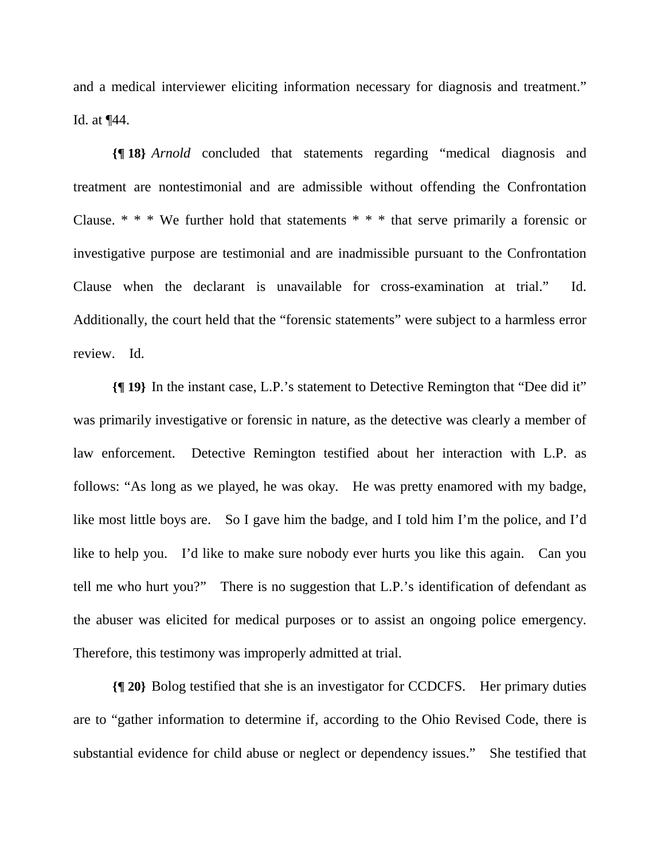and a medical interviewer eliciting information necessary for diagnosis and treatment." Id. at ¶44.

**{¶ 18}** *Arnold* concluded that statements regarding "medical diagnosis and treatment are nontestimonial and are admissible without offending the Confrontation Clause.  $* * * We$  further hold that statements  $* * *$  that serve primarily a forensic or investigative purpose are testimonial and are inadmissible pursuant to the Confrontation Clause when the declarant is unavailable for cross-examination at trial." Id. Additionally, the court held that the "forensic statements" were subject to a harmless error review. Id.

**{¶ 19}** In the instant case, L.P.'s statement to Detective Remington that "Dee did it" was primarily investigative or forensic in nature, as the detective was clearly a member of law enforcement. Detective Remington testified about her interaction with L.P. as follows: "As long as we played, he was okay. He was pretty enamored with my badge, like most little boys are. So I gave him the badge, and I told him I'm the police, and I'd like to help you. I'd like to make sure nobody ever hurts you like this again. Can you tell me who hurt you?" There is no suggestion that L.P.'s identification of defendant as the abuser was elicited for medical purposes or to assist an ongoing police emergency. Therefore, this testimony was improperly admitted at trial.

**{¶ 20}** Bolog testified that she is an investigator for CCDCFS. Her primary duties are to "gather information to determine if, according to the Ohio Revised Code, there is substantial evidence for child abuse or neglect or dependency issues." She testified that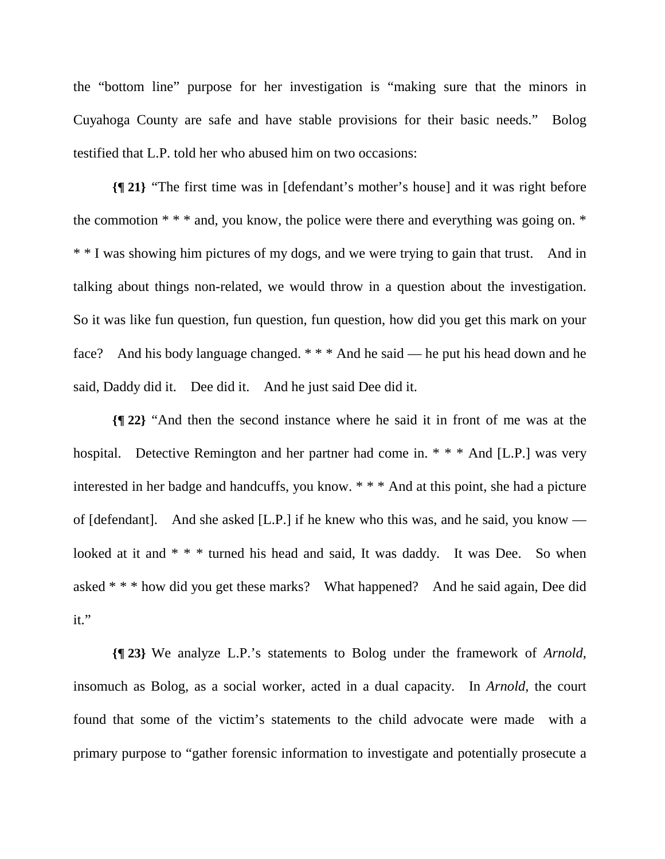the "bottom line" purpose for her investigation is "making sure that the minors in Cuyahoga County are safe and have stable provisions for their basic needs." Bolog testified that L.P. told her who abused him on two occasions:

**{¶ 21}** "The first time was in [defendant's mother's house] and it was right before the commotion  $**$  and, you know, the police were there and everything was going on.  $*$ \* \* I was showing him pictures of my dogs, and we were trying to gain that trust. And in talking about things non-related, we would throw in a question about the investigation. So it was like fun question, fun question, fun question, how did you get this mark on your face? And his body language changed. \* \* \* And he said — he put his head down and he said, Daddy did it. Dee did it. And he just said Dee did it.

**{¶ 22}** "And then the second instance where he said it in front of me was at the hospital. Detective Remington and her partner had come in. \* \* \* And [L.P.] was very interested in her badge and handcuffs, you know. \* \* \* And at this point, she had a picture of [defendant]. And she asked [L.P.] if he knew who this was, and he said, you know looked at it and \* \* \* turned his head and said, It was daddy. It was Dee. So when asked \* \* \* how did you get these marks? What happened? And he said again, Dee did it."

**{¶ 23}** We analyze L.P.'s statements to Bolog under the framework of *Arnold*, insomuch as Bolog, as a social worker, acted in a dual capacity. In *Arnold*, the court found that some of the victim's statements to the child advocate were made with a primary purpose to "gather forensic information to investigate and potentially prosecute a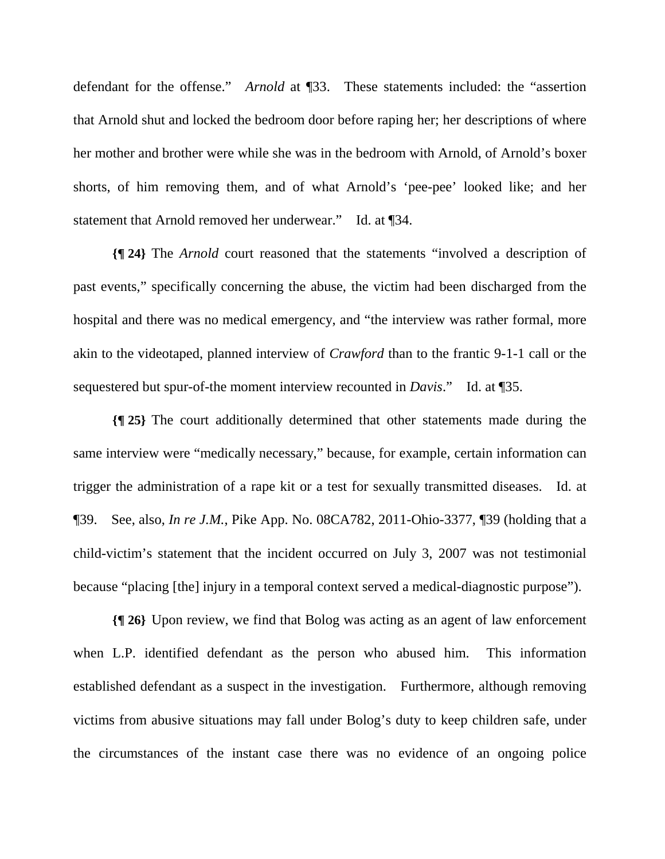defendant for the offense." *Arnold* at ¶33. These statements included: the "assertion that Arnold shut and locked the bedroom door before raping her; her descriptions of where her mother and brother were while she was in the bedroom with Arnold, of Arnold's boxer shorts, of him removing them, and of what Arnold's 'pee-pee' looked like; and her statement that Arnold removed her underwear." Id. at ¶34.

**{¶ 24}** The *Arnold* court reasoned that the statements "involved a description of past events," specifically concerning the abuse, the victim had been discharged from the hospital and there was no medical emergency, and "the interview was rather formal, more akin to the videotaped, planned interview of *Crawford* than to the frantic 9-1-1 call or the sequestered but spur-of-the moment interview recounted in *Davis*." Id. at ¶35.

**{¶ 25}** The court additionally determined that other statements made during the same interview were "medically necessary," because, for example, certain information can trigger the administration of a rape kit or a test for sexually transmitted diseases. Id. at ¶39. See, also, *In re J.M.*, Pike App. No. 08CA782, 2011-Ohio-3377, ¶39 (holding that a child-victim's statement that the incident occurred on July 3, 2007 was not testimonial because "placing [the] injury in a temporal context served a medical-diagnostic purpose").

**{¶ 26}** Upon review, we find that Bolog was acting as an agent of law enforcement when L.P. identified defendant as the person who abused him. This information established defendant as a suspect in the investigation. Furthermore, although removing victims from abusive situations may fall under Bolog's duty to keep children safe, under the circumstances of the instant case there was no evidence of an ongoing police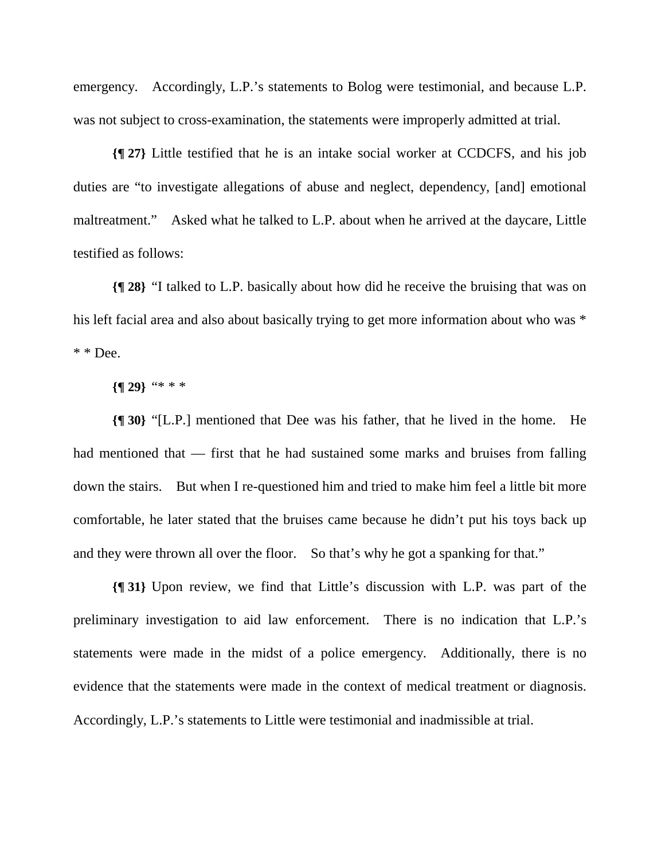emergency. Accordingly, L.P.'s statements to Bolog were testimonial, and because L.P. was not subject to cross-examination, the statements were improperly admitted at trial.

**{¶ 27}** Little testified that he is an intake social worker at CCDCFS, and his job duties are "to investigate allegations of abuse and neglect, dependency, [and] emotional maltreatment." Asked what he talked to L.P. about when he arrived at the daycare, Little testified as follows:

**{¶ 28}** "I talked to L.P. basically about how did he receive the bruising that was on his left facial area and also about basically trying to get more information about who was  $*$  $*$   $\&$  Dee.

#### **{¶ 29}** "\* \* \*

**{¶ 30}** "[L.P.] mentioned that Dee was his father, that he lived in the home. He had mentioned that — first that he had sustained some marks and bruises from falling down the stairs. But when I re-questioned him and tried to make him feel a little bit more comfortable, he later stated that the bruises came because he didn't put his toys back up and they were thrown all over the floor. So that's why he got a spanking for that."

**{¶ 31}** Upon review, we find that Little's discussion with L.P. was part of the preliminary investigation to aid law enforcement. There is no indication that L.P.'s statements were made in the midst of a police emergency. Additionally, there is no evidence that the statements were made in the context of medical treatment or diagnosis. Accordingly, L.P.'s statements to Little were testimonial and inadmissible at trial.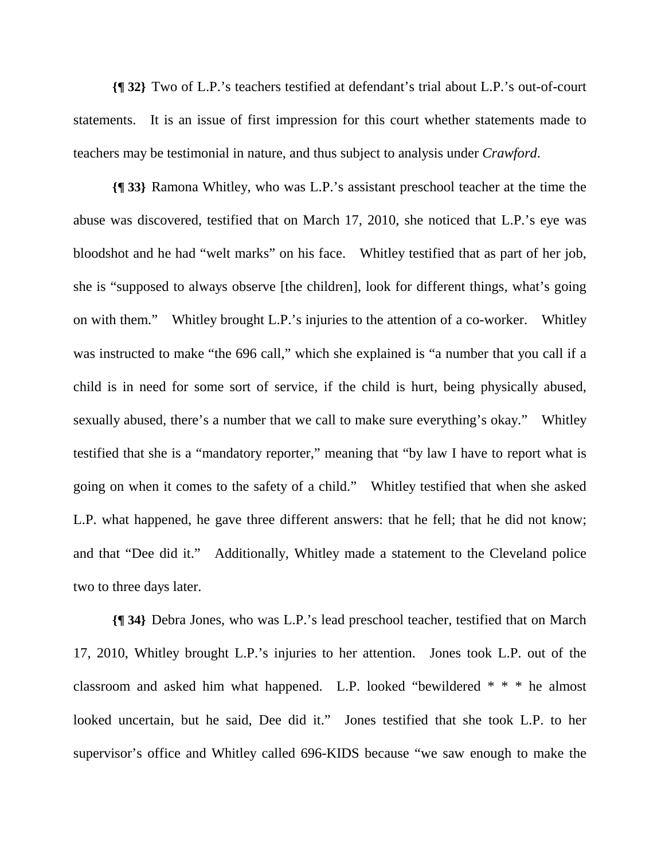**{¶ 32}** Two of L.P.'s teachers testified at defendant's trial about L.P.'s out-of-court statements. It is an issue of first impression for this court whether statements made to teachers may be testimonial in nature, and thus subject to analysis under *Crawford*.

**{¶ 33}** Ramona Whitley, who was L.P.'s assistant preschool teacher at the time the abuse was discovered, testified that on March 17, 2010, she noticed that L.P.'s eye was bloodshot and he had "welt marks" on his face. Whitley testified that as part of her job, she is "supposed to always observe [the children], look for different things, what's going on with them." Whitley brought L.P.'s injuries to the attention of a co-worker. Whitley was instructed to make "the 696 call," which she explained is "a number that you call if a child is in need for some sort of service, if the child is hurt, being physically abused, sexually abused, there's a number that we call to make sure everything's okay." Whitley testified that she is a "mandatory reporter," meaning that "by law I have to report what is going on when it comes to the safety of a child." Whitley testified that when she asked L.P. what happened, he gave three different answers: that he fell; that he did not know; and that "Dee did it." Additionally, Whitley made a statement to the Cleveland police two to three days later.

**{¶ 34}** Debra Jones, who was L.P.'s lead preschool teacher, testified that on March 17, 2010, Whitley brought L.P.'s injuries to her attention. Jones took L.P. out of the classroom and asked him what happened. L.P. looked "bewildered \* \* \* he almost looked uncertain, but he said, Dee did it." Jones testified that she took L.P. to her supervisor's office and Whitley called 696-KIDS because "we saw enough to make the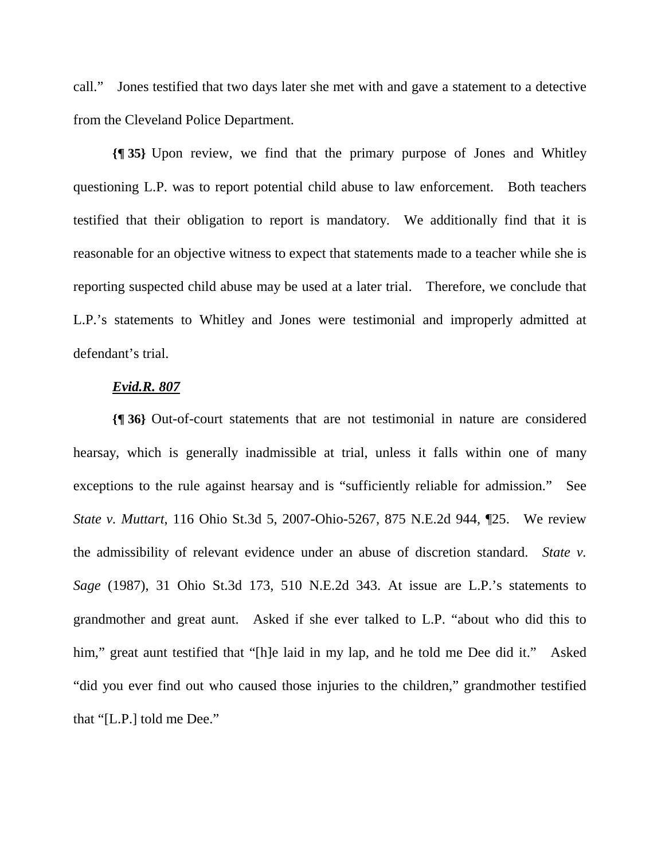call." Jones testified that two days later she met with and gave a statement to a detective from the Cleveland Police Department.

**{¶ 35}** Upon review, we find that the primary purpose of Jones and Whitley questioning L.P. was to report potential child abuse to law enforcement. Both teachers testified that their obligation to report is mandatory. We additionally find that it is reasonable for an objective witness to expect that statements made to a teacher while she is reporting suspected child abuse may be used at a later trial. Therefore, we conclude that L.P.'s statements to Whitley and Jones were testimonial and improperly admitted at defendant's trial.

#### *Evid.R. 807*

**{¶ 36}** Out-of-court statements that are not testimonial in nature are considered hearsay, which is generally inadmissible at trial, unless it falls within one of many exceptions to the rule against hearsay and is "sufficiently reliable for admission." See *State v. Muttart*, 116 Ohio St.3d 5, 2007-Ohio-5267, 875 N.E.2d 944, ¶25. We review the admissibility of relevant evidence under an abuse of discretion standard. *State v. Sage* (1987), 31 Ohio St.3d 173, 510 N.E.2d 343. At issue are L.P.'s statements to grandmother and great aunt. Asked if she ever talked to L.P. "about who did this to him," great aunt testified that "[h]e laid in my lap, and he told me Dee did it." Asked "did you ever find out who caused those injuries to the children," grandmother testified that "[L.P.] told me Dee."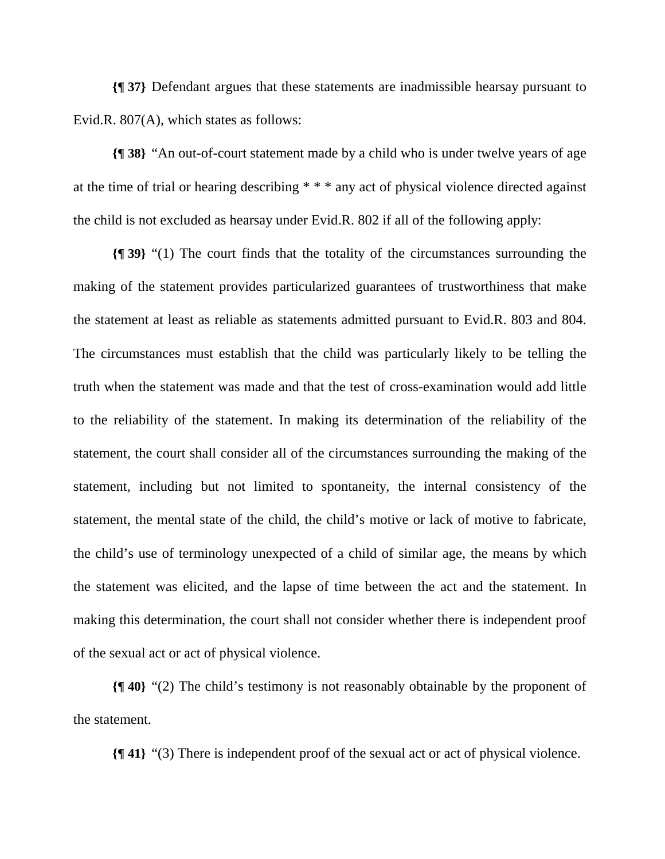**{¶ 37}** Defendant argues that these statements are inadmissible hearsay pursuant to Evid.R. 807(A), which states as follows:

**{¶ 38}** "An out-of-court statement made by a child who is under twelve years of age at the time of trial or hearing describing \* \* \* any act of physical violence directed against the child is not excluded as hearsay under Evid.R. 802 if all of the following apply:

**{¶ 39}** "(1) The court finds that the totality of the circumstances surrounding the making of the statement provides particularized guarantees of trustworthiness that make the statement at least as reliable as statements admitted pursuant to Evid.R. 803 and 804. The circumstances must establish that the child was particularly likely to be telling the truth when the statement was made and that the test of cross-examination would add little to the reliability of the statement. In making its determination of the reliability of the statement, the court shall consider all of the circumstances surrounding the making of the statement, including but not limited to spontaneity, the internal consistency of the statement, the mental state of the child, the child's motive or lack of motive to fabricate, the child's use of terminology unexpected of a child of similar age, the means by which the statement was elicited, and the lapse of time between the act and the statement. In making this determination, the court shall not consider whether there is independent proof of the sexual act or act of physical violence.

**{¶ 40}** "(2) The child's testimony is not reasonably obtainable by the proponent of the statement.

**{¶ 41}** "(3) There is independent proof of the sexual act or act of physical violence.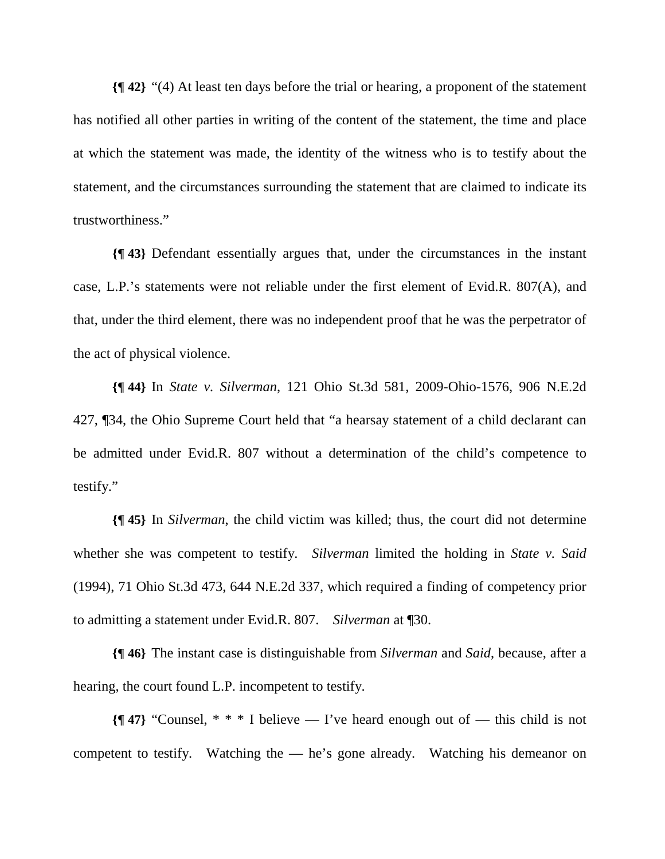**{¶ 42}** "(4) At least ten days before the trial or hearing, a proponent of the statement has notified all other parties in writing of the content of the statement, the time and place at which the statement was made, the identity of the witness who is to testify about the statement, and the circumstances surrounding the statement that are claimed to indicate its trustworthiness."

**{¶ 43}** Defendant essentially argues that, under the circumstances in the instant case, L.P.'s statements were not reliable under the first element of Evid.R. 807(A), and that, under the third element, there was no independent proof that he was the perpetrator of the act of physical violence.

**{¶ 44}** In *State v. Silverman*, 121 Ohio St.3d 581, 2009-Ohio-1576, 906 N.E.2d 427, ¶34, the Ohio Supreme Court held that "a hearsay statement of a child declarant can be admitted under Evid.R. 807 without a determination of the child's competence to testify."

**{¶ 45}** In *Silverman*, the child victim was killed; thus, the court did not determine whether she was competent to testify. *Silverman* limited the holding in *State v. Said*  (1994), 71 Ohio St.3d 473, 644 N.E.2d 337, which required a finding of competency prior to admitting a statement under Evid.R. 807. *Silverman* at ¶30.

**{¶ 46}** The instant case is distinguishable from *Silverman* and *Said*, because, after a hearing, the court found L.P. incompetent to testify.

**{¶ 47}** "Counsel, \* \* \* I believe — I've heard enough out of — this child is not competent to testify. Watching the — he's gone already. Watching his demeanor on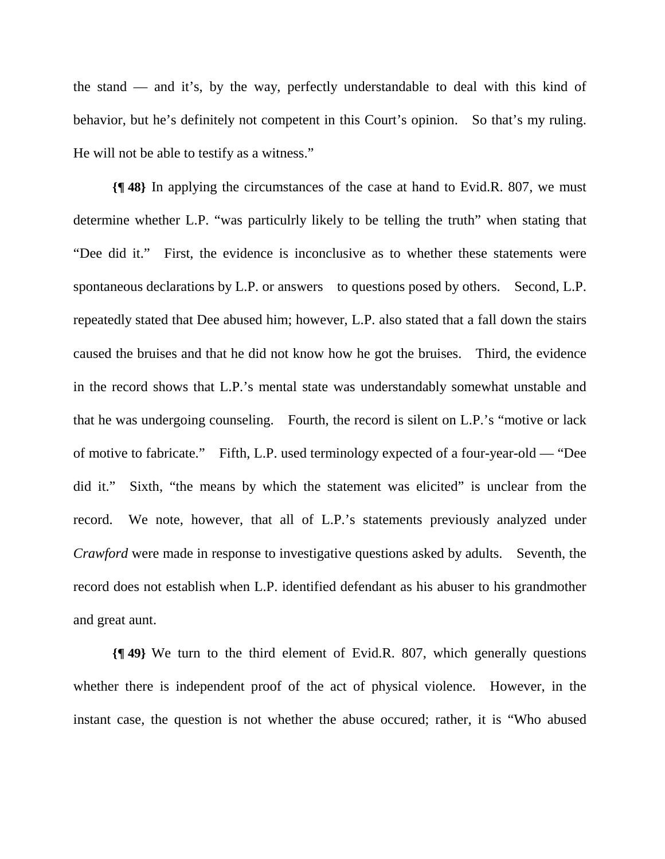the stand — and it's, by the way, perfectly understandable to deal with this kind of behavior, but he's definitely not competent in this Court's opinion. So that's my ruling. He will not be able to testify as a witness."

**{¶ 48}** In applying the circumstances of the case at hand to Evid.R. 807, we must determine whether L.P. "was particulrly likely to be telling the truth" when stating that "Dee did it." First, the evidence is inconclusive as to whether these statements were spontaneous declarations by L.P. or answers to questions posed by others. Second, L.P. repeatedly stated that Dee abused him; however, L.P. also stated that a fall down the stairs caused the bruises and that he did not know how he got the bruises. Third, the evidence in the record shows that L.P.'s mental state was understandably somewhat unstable and that he was undergoing counseling. Fourth, the record is silent on L.P.'s "motive or lack of motive to fabricate." Fifth, L.P. used terminology expected of a four-year-old — "Dee did it." Sixth, "the means by which the statement was elicited" is unclear from the record. We note, however, that all of L.P.'s statements previously analyzed under *Crawford* were made in response to investigative questions asked by adults. Seventh, the record does not establish when L.P. identified defendant as his abuser to his grandmother and great aunt.

**{¶ 49}** We turn to the third element of Evid.R. 807, which generally questions whether there is independent proof of the act of physical violence. However, in the instant case, the question is not whether the abuse occured; rather, it is "Who abused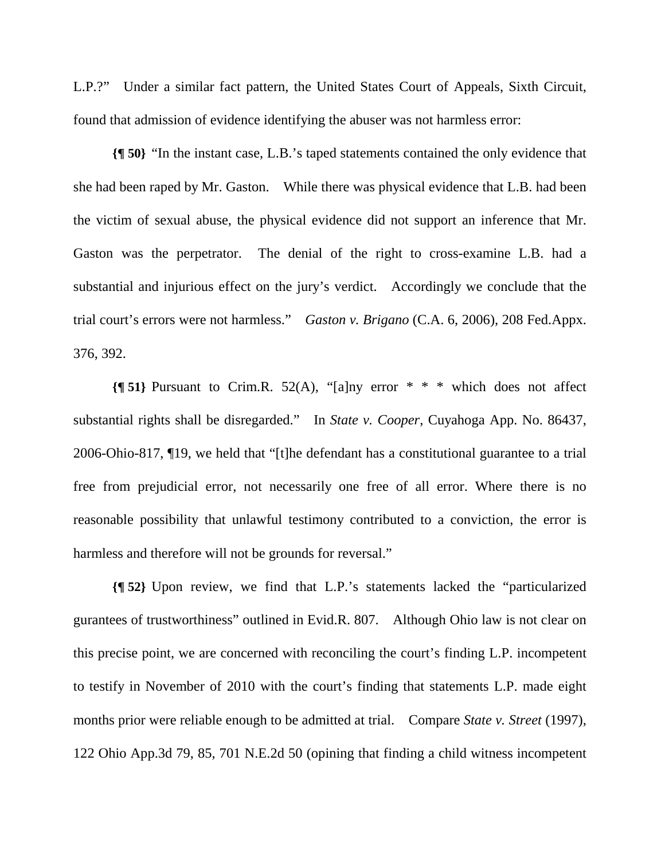L.P.?" Under a similar fact pattern, the United States Court of Appeals, Sixth Circuit, found that admission of evidence identifying the abuser was not harmless error:

**{¶ 50}** "In the instant case, L.B.'s taped statements contained the only evidence that she had been raped by Mr. Gaston. While there was physical evidence that L.B. had been the victim of sexual abuse, the physical evidence did not support an inference that Mr. Gaston was the perpetrator. The denial of the right to cross-examine L.B. had a substantial and injurious effect on the jury's verdict. Accordingly we conclude that the trial court's errors were not harmless." *Gaston v. Brigano* (C.A. 6, 2006), 208 Fed.Appx. 376, 392.

**{¶ 51}** Pursuant to Crim.R. 52(A), "[a]ny error \* \* \* which does not affect substantial rights shall be disregarded." In *State v. Cooper*, Cuyahoga App. No. 86437, 2006-Ohio-817, ¶19, we held that "[t]he defendant has a constitutional guarantee to a trial free from prejudicial error, not necessarily one free of all error. Where there is no reasonable possibility that unlawful testimony contributed to a conviction, the error is harmless and therefore will not be grounds for reversal."

**{¶ 52}** Upon review, we find that L.P.'s statements lacked the "particularized gurantees of trustworthiness" outlined in Evid.R. 807. Although Ohio law is not clear on this precise point, we are concerned with reconciling the court's finding L.P. incompetent to testify in November of 2010 with the court's finding that statements L.P. made eight months prior were reliable enough to be admitted at trial. Compare *State v. Street* (1997), 122 Ohio App.3d 79, 85, 701 N.E.2d 50 (opining that finding a child witness incompetent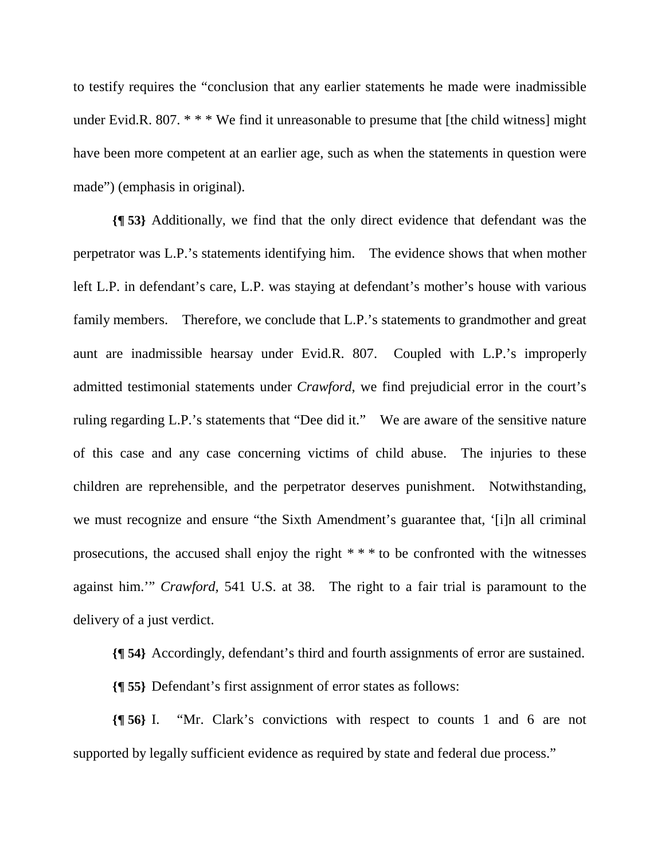to testify requires the "conclusion that any earlier statements he made were inadmissible under Evid.R. 807. \* \* \* We find it unreasonable to presume that [the child witness] might have been more competent at an earlier age, such as when the statements in question were made") (emphasis in original).

**{¶ 53}** Additionally, we find that the only direct evidence that defendant was the perpetrator was L.P.'s statements identifying him. The evidence shows that when mother left L.P. in defendant's care, L.P. was staying at defendant's mother's house with various family members. Therefore, we conclude that L.P.'s statements to grandmother and great aunt are inadmissible hearsay under Evid.R. 807. Coupled with L.P.'s improperly admitted testimonial statements under *Crawford*, we find prejudicial error in the court's ruling regarding L.P.'s statements that "Dee did it." We are aware of the sensitive nature of this case and any case concerning victims of child abuse. The injuries to these children are reprehensible, and the perpetrator deserves punishment. Notwithstanding, we must recognize and ensure "the Sixth Amendment's guarantee that, '[i]n all criminal prosecutions, the accused shall enjoy the right \* \* \* to be confronted with the witnesses against him.'" *Crawford,* 541 U.S. at 38. The right to a fair trial is paramount to the delivery of a just verdict.

**{¶ 54}** Accordingly, defendant's third and fourth assignments of error are sustained.

**{¶ 55}** Defendant's first assignment of error states as follows:

**{¶ 56}** I. "Mr. Clark's convictions with respect to counts 1 and 6 are not supported by legally sufficient evidence as required by state and federal due process."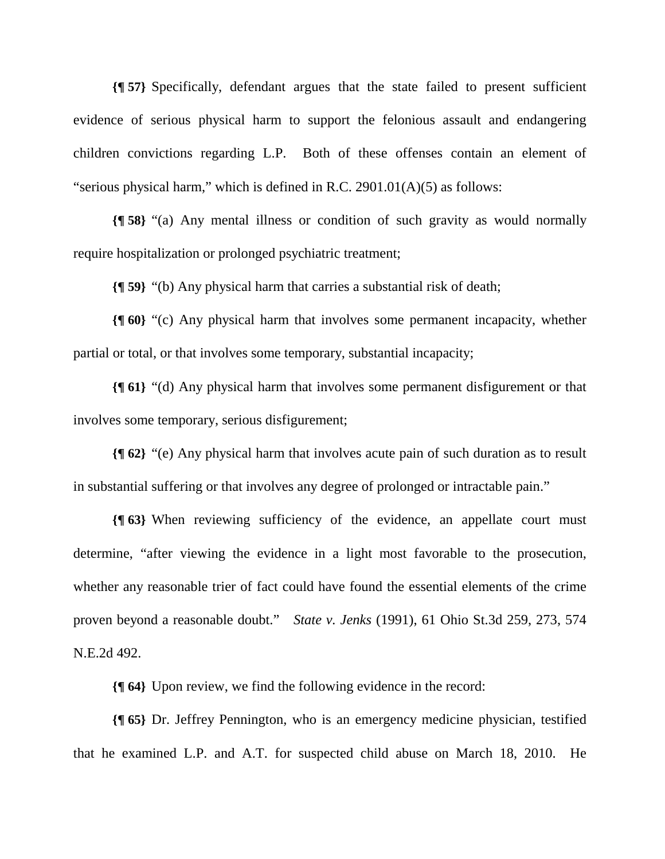**{¶ 57}** Specifically, defendant argues that the state failed to present sufficient evidence of serious physical harm to support the felonious assault and endangering children convictions regarding L.P. Both of these offenses contain an element of "serious physical harm," which is defined in R.C. 2901.01(A)(5) as follows:

**{¶ 58}** "(a) Any mental illness or condition of such gravity as would normally require hospitalization or prolonged psychiatric treatment;

**{¶ 59}** "(b) Any physical harm that carries a substantial risk of death;

**{¶ 60}** "(c) Any physical harm that involves some permanent incapacity, whether partial or total, or that involves some temporary, substantial incapacity;

**{¶ 61}** "(d) Any physical harm that involves some permanent disfigurement or that involves some temporary, serious disfigurement;

**{¶ 62}** "(e) Any physical harm that involves acute pain of such duration as to result in substantial suffering or that involves any degree of prolonged or intractable pain."

**{¶ 63}** When reviewing sufficiency of the evidence, an appellate court must determine, "after viewing the evidence in a light most favorable to the prosecution, whether any reasonable trier of fact could have found the essential elements of the crime proven beyond a reasonable doubt." *State v. Jenks* (1991), 61 Ohio St.3d 259, 273, 574 N.E.2d 492.

**{¶ 64}** Upon review, we find the following evidence in the record:

**{¶ 65}** Dr. Jeffrey Pennington, who is an emergency medicine physician, testified that he examined L.P. and A.T. for suspected child abuse on March 18, 2010. He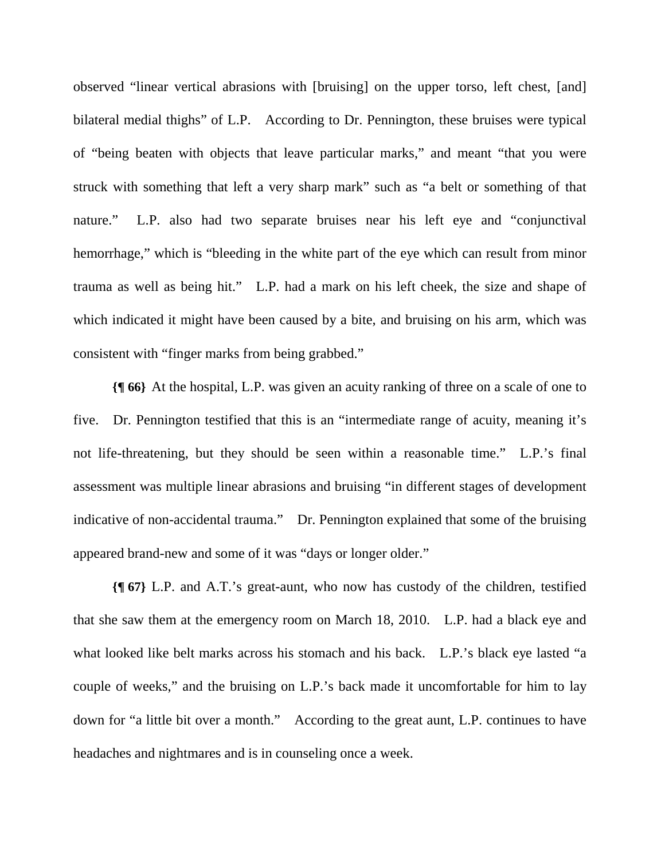observed "linear vertical abrasions with [bruising] on the upper torso, left chest, [and] bilateral medial thighs" of L.P. According to Dr. Pennington, these bruises were typical of "being beaten with objects that leave particular marks," and meant "that you were struck with something that left a very sharp mark" such as "a belt or something of that nature." L.P. also had two separate bruises near his left eye and "conjunctival hemorrhage," which is "bleeding in the white part of the eye which can result from minor trauma as well as being hit." L.P. had a mark on his left cheek, the size and shape of which indicated it might have been caused by a bite, and bruising on his arm, which was consistent with "finger marks from being grabbed."

**{¶ 66}** At the hospital, L.P. was given an acuity ranking of three on a scale of one to five. Dr. Pennington testified that this is an "intermediate range of acuity, meaning it's not life-threatening, but they should be seen within a reasonable time." L.P.'s final assessment was multiple linear abrasions and bruising "in different stages of development indicative of non-accidental trauma." Dr. Pennington explained that some of the bruising appeared brand-new and some of it was "days or longer older."

**{¶ 67}** L.P. and A.T.'s great-aunt, who now has custody of the children, testified that she saw them at the emergency room on March 18, 2010. L.P. had a black eye and what looked like belt marks across his stomach and his back. L.P.'s black eye lasted "a couple of weeks," and the bruising on L.P.'s back made it uncomfortable for him to lay down for "a little bit over a month." According to the great aunt, L.P. continues to have headaches and nightmares and is in counseling once a week.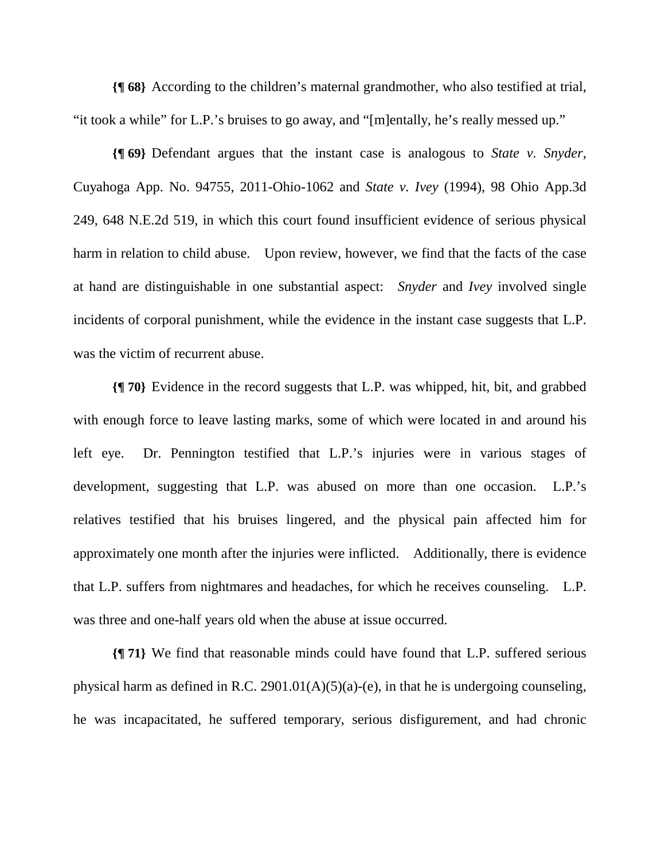**{¶ 68}** According to the children's maternal grandmother, who also testified at trial, "it took a while" for L.P.'s bruises to go away, and "[m]entally, he's really messed up."

**{¶ 69}** Defendant argues that the instant case is analogous to *State v. Snyder*, Cuyahoga App. No. 94755, 2011-Ohio-1062 and *State v. Ivey* (1994), 98 Ohio App.3d 249, 648 N.E.2d 519, in which this court found insufficient evidence of serious physical harm in relation to child abuse. Upon review, however, we find that the facts of the case at hand are distinguishable in one substantial aspect: *Snyder* and *Ivey* involved single incidents of corporal punishment, while the evidence in the instant case suggests that L.P. was the victim of recurrent abuse.

**{¶ 70}** Evidence in the record suggests that L.P. was whipped, hit, bit, and grabbed with enough force to leave lasting marks, some of which were located in and around his left eye. Dr. Pennington testified that L.P.'s injuries were in various stages of development, suggesting that L.P. was abused on more than one occasion. L.P.'s relatives testified that his bruises lingered, and the physical pain affected him for approximately one month after the injuries were inflicted. Additionally, there is evidence that L.P. suffers from nightmares and headaches, for which he receives counseling. L.P. was three and one-half years old when the abuse at issue occurred.

**{¶ 71}** We find that reasonable minds could have found that L.P. suffered serious physical harm as defined in R.C. 2901.01(A)(5)(a)-(e), in that he is undergoing counseling, he was incapacitated, he suffered temporary, serious disfigurement, and had chronic